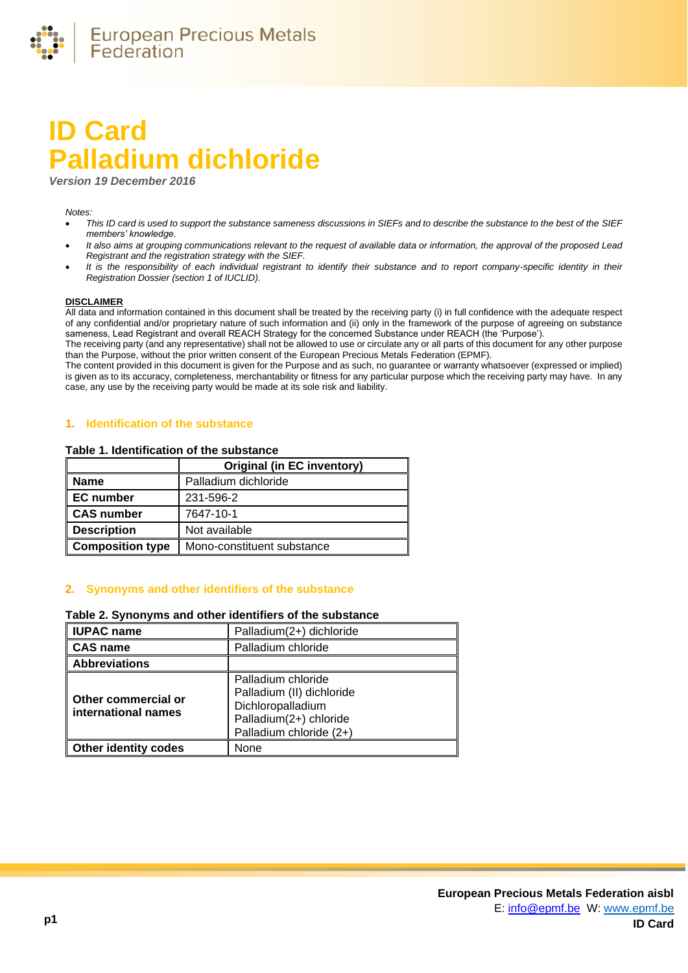

# **ID Card Palladium dichloride**

*Version 19 December 2016*

#### *Notes:*

- *This ID card is used to support the substance sameness discussions in SIEFs and to describe the substance to the best of the SIEF members' knowledge.*
- *It also aims at grouping communications relevant to the request of available data or information, the approval of the proposed Lead Registrant and the registration strategy with the SIEF.*
- *It is the responsibility of each individual registrant to identify their substance and to report company-specific identity in their Registration Dossier (section 1 of IUCLID).*

#### **DISCLAIMER**

All data and information contained in this document shall be treated by the receiving party (i) in full confidence with the adequate respect of any confidential and/or proprietary nature of such information and (ii) only in the framework of the purpose of agreeing on substance sameness, Lead Registrant and overall REACH Strategy for the concerned Substance under REACH (the 'Purpose').

The receiving party (and any representative) shall not be allowed to use or circulate any or all parts of this document for any other purpose than the Purpose, without the prior written consent of the European Precious Metals Federation (EPMF).

The content provided in this document is given for the Purpose and as such, no guarantee or warranty whatsoever (expressed or implied) is given as to its accuracy, completeness, merchantability or fitness for any particular purpose which the receiving party may have. In any case, any use by the receiving party would be made at its sole risk and liability.

## **1. Identification of the substance**

#### **Table 1. Identification of the substance**

|                         | <b>Original (in EC inventory)</b> |  |
|-------------------------|-----------------------------------|--|
| <b>Name</b>             | Palladium dichloride              |  |
| <b>EC</b> number        | 231-596-2                         |  |
| <b>CAS number</b>       | 7647-10-1                         |  |
| <b>Description</b>      | Not available                     |  |
| <b>Composition type</b> | Mono-constituent substance        |  |

## **2. Synonyms and other identifiers of the substance**

#### **Table 2. Synonyms and other identifiers of the substance**

| <b>IUPAC name</b>                          | Palladium(2+) dichloride                                                                                                  |  |  |
|--------------------------------------------|---------------------------------------------------------------------------------------------------------------------------|--|--|
| <b>CAS name</b>                            | Palladium chloride                                                                                                        |  |  |
| <b>Abbreviations</b>                       |                                                                                                                           |  |  |
| Other commercial or<br>international names | Palladium chloride<br>Palladium (II) dichloride<br>Dichloropalladium<br>Palladium(2+) chloride<br>Palladium chloride (2+) |  |  |
| <b>Other identity codes</b>                | None                                                                                                                      |  |  |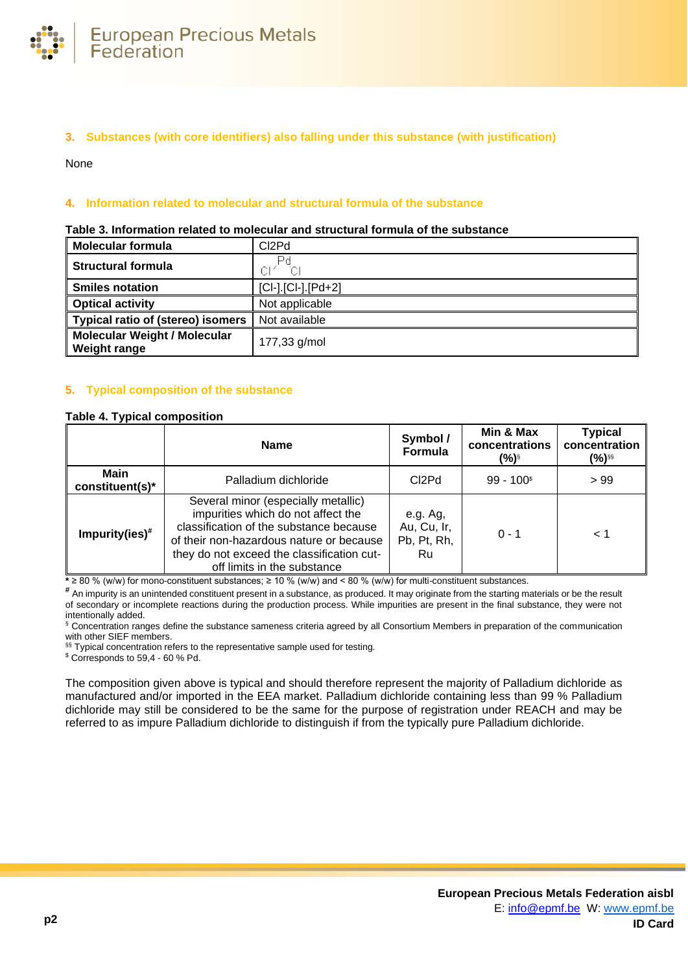

# **3. Substances (with core identifiers) also falling under this substance (with justification)**

None

# **4. Information related to molecular and structural formula of the substance**

| <b>Molecular formula</b>                                   | CI2Pd                |
|------------------------------------------------------------|----------------------|
| <b>Structural formula</b>                                  | СĿ<br>ЮI             |
| <b>Smiles notation</b>                                     | $[Cl-].[Cl-].[Pd+2]$ |
| <b>Optical activity</b>                                    | Not applicable       |
| Typical ratio of (stereo) isomers                          | Not available        |
| <b>Molecular Weight / Molecular</b><br><b>Weight range</b> | 177,33 g/mol         |

#### **Table 3. Information related to molecular and structural formula of the substance**

## **5. Typical composition of the substance**

#### <span id="page-1-0"></span>**Table 4. Typical composition**

|                                | <b>Name</b>                                                                                                                                                                                                                                   | Symbol /<br>Formula                          | Min & Max<br>concentrations<br>(%) <sup>§</sup> | <b>Typical</b><br>concentration<br>(%)§§ |
|--------------------------------|-----------------------------------------------------------------------------------------------------------------------------------------------------------------------------------------------------------------------------------------------|----------------------------------------------|-------------------------------------------------|------------------------------------------|
| <b>Main</b><br>constituent(s)* | Palladium dichloride                                                                                                                                                                                                                          | C <sub>2</sub> Pd                            | $99 - 100$ <sup>\$</sup>                        | >99                                      |
| Impurity(ies) $#$              | Several minor (especially metallic)<br>impurities which do not affect the<br>classification of the substance because<br>of their non-hazardous nature or because<br>they do not exceed the classification cut-<br>off limits in the substance | e.g. Ag,<br>Au, Cu, Ir,<br>Pb, Pt, Rh,<br>Ru | $0 - 1$                                         | 1 >                                      |

**\*** ≥ 80 % (w/w) for mono-constituent substances; ≥ 10 % (w/w) and < 80 % (w/w) for multi-constituent substances.

**#** An impurity is an unintended constituent present in a substance, as produced. It may originate from the starting materials or be the result of secondary or incomplete reactions during the production process. While impurities are present in the final substance, they were not intentionally added.

§ Concentration ranges define the substance sameness criteria agreed by all Consortium Members in preparation of the communication with other SIEF members.

§§ Typical concentration refers to the representative sample used for testing.

\$ Corresponds to 59,4 - 60 % Pd.

The composition given above is typical and should therefore represent the majority of Palladium dichloride as manufactured and/or imported in the EEA market. Palladium dichloride containing less than 99 % Palladium dichloride may still be considered to be the same for the purpose of registration under REACH and may be referred to as impure Palladium dichloride to distinguish if from the typically pure Palladium dichloride.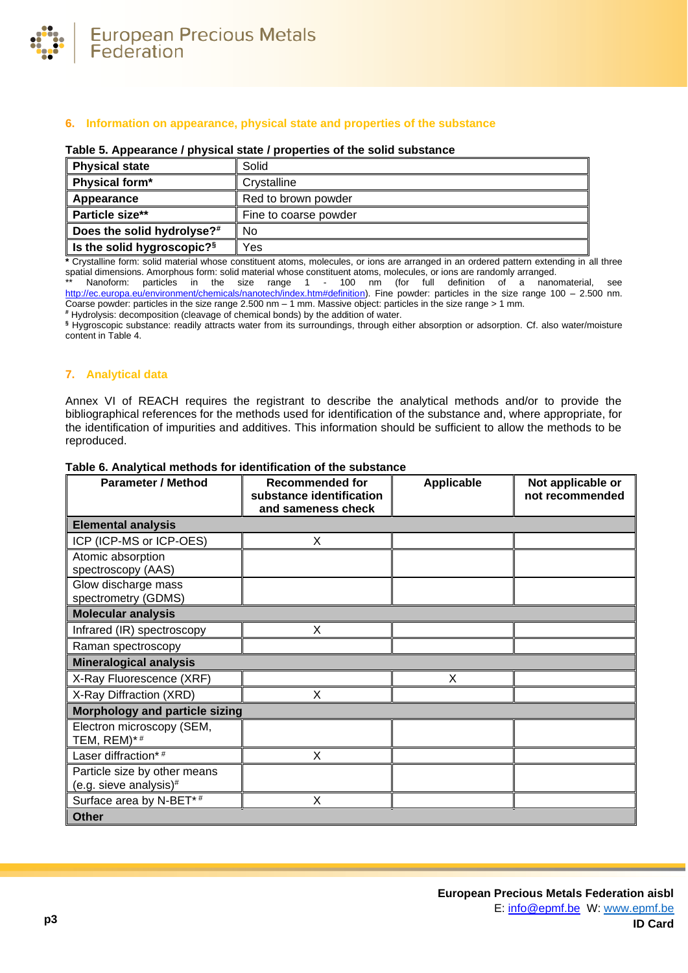

## **6. Information on appearance, physical state and properties of the substance**

#### **Table 5. Appearance / physical state / properties of the solid substance**

| <b>Physical state</b>         | Solid                 |
|-------------------------------|-----------------------|
| Physical form*                | Crystalline           |
| Appearance                    | Red to brown powder   |
| <b>Particle size**</b>        | Fine to coarse powder |
| Does the solid hydrolyse?#    | No                    |
| Is the solid hygroscopic? $s$ | Yes                   |

**\*** Crystalline form: solid material whose constituent atoms, molecules, or ions are arranged in an ordered pattern extending in all three spatial dimensions. Amorphous form: solid material whose constituent atoms, molecules, or ions are randomly arranged.

Nanoform: particles in the size range 1 - 100 nm (for full definition of a nanomaterial, see [http://ec.europa.eu/environment/chemicals/nanotech/index.htm#definition\)](http://ec.europa.eu/environment/chemicals/nanotech/index.htm#definition). Fine powder: particles in the size range 100 – 2.500 nm. Coarse powder: particles in the size range 2.500 nm – 1 mm. Massive object: particles in the size range > 1 mm.

**#** Hydrolysis: decomposition (cleavage of chemical bonds) by the addition of water.

**§** Hygroscopic substance: readily attracts water from its surroundings, through either absorption or adsorption. Cf. also water/moisture content i[n Table 4.](#page-1-0)

# **7. Analytical data**

Annex VI of REACH requires the registrant to describe the analytical methods and/or to provide the bibliographical references for the methods used for identification of the substance and, where appropriate, for the identification of impurities and additives. This information should be sufficient to allow the methods to be reproduced.

| <b>Parameter / Method</b>                              | <b>Recommended for</b><br>substance identification<br>and sameness check | <b>Applicable</b> | Not applicable or<br>not recommended |  |
|--------------------------------------------------------|--------------------------------------------------------------------------|-------------------|--------------------------------------|--|
| <b>Elemental analysis</b>                              |                                                                          |                   |                                      |  |
| ICP (ICP-MS or ICP-OES)                                | X                                                                        |                   |                                      |  |
| Atomic absorption<br>spectroscopy (AAS)                |                                                                          |                   |                                      |  |
| Glow discharge mass<br>spectrometry (GDMS)             |                                                                          |                   |                                      |  |
| <b>Molecular analysis</b>                              |                                                                          |                   |                                      |  |
| Infrared (IR) spectroscopy                             | X                                                                        |                   |                                      |  |
| Raman spectroscopy                                     |                                                                          |                   |                                      |  |
| <b>Mineralogical analysis</b>                          |                                                                          |                   |                                      |  |
| X-Ray Fluorescence (XRF)                               |                                                                          | X                 |                                      |  |
| X-Ray Diffraction (XRD)                                | x                                                                        |                   |                                      |  |
|                                                        | <b>Morphology and particle sizing</b>                                    |                   |                                      |  |
| Electron microscopy (SEM,<br>TEM, REM)*#               |                                                                          |                   |                                      |  |
| Laser diffraction*#                                    | X                                                                        |                   |                                      |  |
| Particle size by other means<br>(e.g. sieve analysis)# |                                                                          |                   |                                      |  |
| Surface area by N-BET*#                                | X                                                                        |                   |                                      |  |
| <b>Other</b>                                           |                                                                          |                   |                                      |  |

#### **Table 6. Analytical methods for identification of the substance**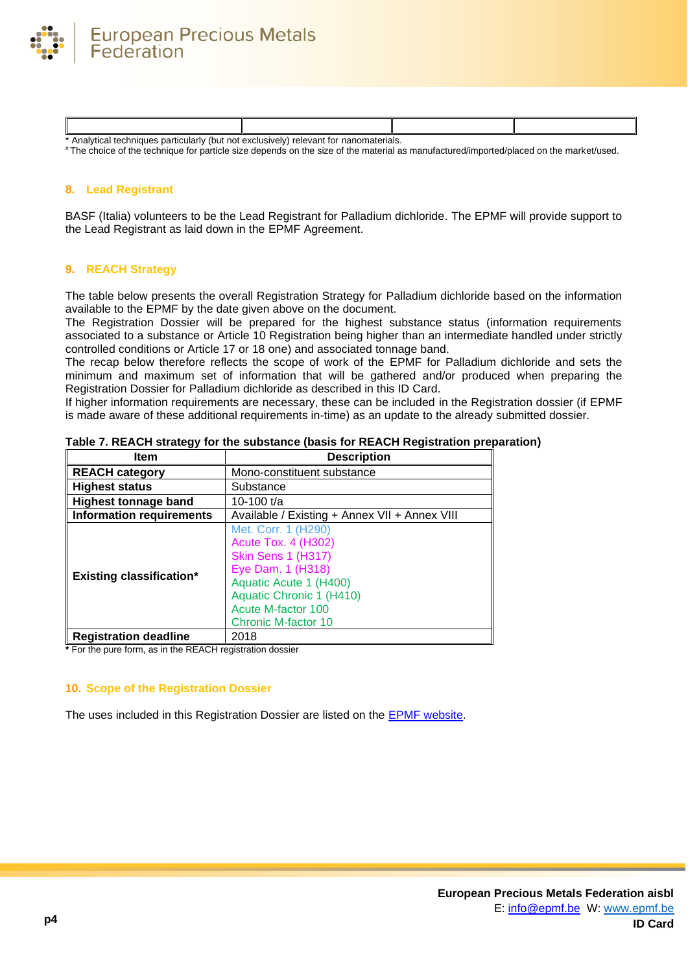

| v (but not<br>Analytıcal<br>particularly<br>! techniques | าomaterials.<br>relevant<br>* exclusively.<br>าano<br>τοι |  |
|----------------------------------------------------------|-----------------------------------------------------------|--|

# The choice of the technique for particle size depends on the size of the material as manufactured/imported/placed on the market/used.

## **8. Lead Registrant**

BASF (Italia) volunteers to be the Lead Registrant for Palladium dichloride. The EPMF will provide support to the Lead Registrant as laid down in the EPMF Agreement.

#### **9. REACH Strategy**

The table below presents the overall Registration Strategy for Palladium dichloride based on the information available to the EPMF by the date given above on the document.

The Registration Dossier will be prepared for the highest substance status (information requirements associated to a substance or Article 10 Registration being higher than an intermediate handled under strictly controlled conditions or Article 17 or 18 one) and associated tonnage band.

The recap below therefore reflects the scope of work of the EPMF for Palladium dichloride and sets the minimum and maximum set of information that will be gathered and/or produced when preparing the Registration Dossier for Palladium dichloride as described in this ID Card.

If higher information requirements are necessary, these can be included in the Registration dossier (if EPMF is made aware of these additional requirements in-time) as an update to the already submitted dossier.

| Item                            | <b>Description</b>                                                                                                                                                                                            |  |
|---------------------------------|---------------------------------------------------------------------------------------------------------------------------------------------------------------------------------------------------------------|--|
| <b>REACH category</b>           | Mono-constituent substance                                                                                                                                                                                    |  |
| <b>Highest status</b>           | Substance                                                                                                                                                                                                     |  |
| <b>Highest tonnage band</b>     | 10-100 $t/a$                                                                                                                                                                                                  |  |
| <b>Information requirements</b> | Available / Existing + Annex VII + Annex VIII                                                                                                                                                                 |  |
| <b>Existing classification*</b> | Met. Corr. 1 (H290)<br><b>Acute Tox. 4 (H302)</b><br><b>Skin Sens 1 (H317)</b><br>Eye Dam. 1 (H318)<br>Aquatic Acute 1 (H400)<br>Aquatic Chronic 1 (H410)<br>Acute M-factor 100<br><b>Chronic M-factor 10</b> |  |
| <b>Registration deadline</b>    | 2018                                                                                                                                                                                                          |  |

**Table 7. REACH strategy for the substance (basis for REACH Registration preparation)**

**\*** For the pure form, as in the REACH registration dossier

## **10. Scope of the Registration Dossier**

The uses included in this Registration Dossier are listed on the [EPMF website.](https://www.epmf.be/)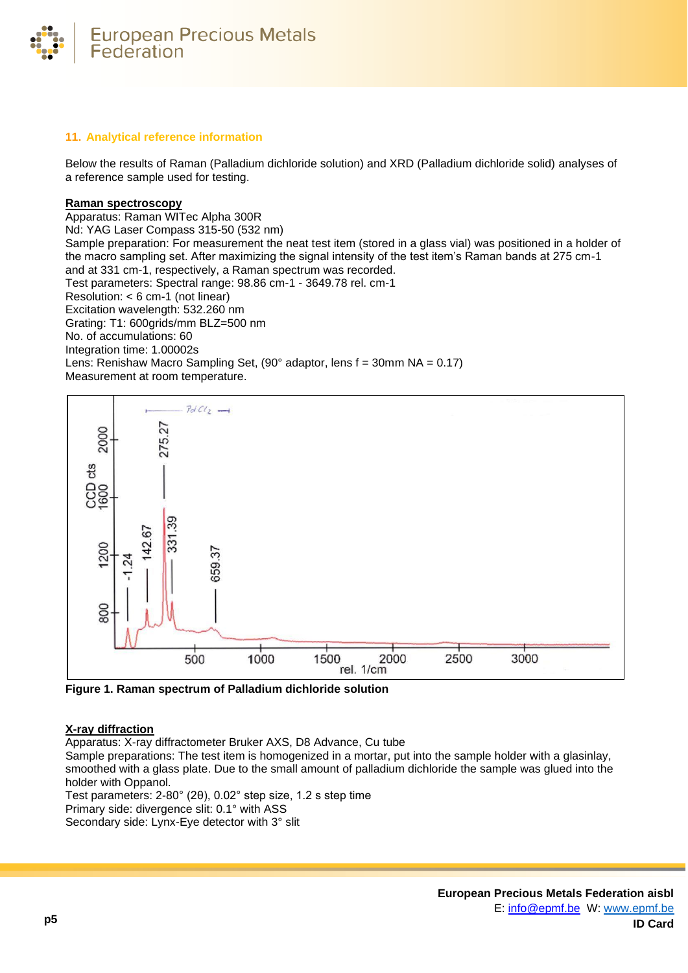

# **11. Analytical reference information**

Below the results of Raman (Palladium dichloride solution) and XRD (Palladium dichloride solid) analyses of a reference sample used for testing.

## **Raman spectroscopy**

Apparatus: Raman WITec Alpha 300R Nd: YAG Laser Compass 315-50 (532 nm) Sample preparation: For measurement the neat test item (stored in a glass vial) was positioned in a holder of the macro sampling set. After maximizing the signal intensity of the test item's Raman bands at 275 cm-1 and at 331 cm-1, respectively, a Raman spectrum was recorded. Test parameters: Spectral range: 98.86 cm-1 - 3649.78 rel. cm-1 Resolution: < 6 cm-1 (not linear) Excitation wavelength: 532.260 nm Grating: T1: 600grids/mm BLZ=500 nm No. of accumulations: 60 Integration time: 1.00002s Lens: Renishaw Macro Sampling Set, (90° adaptor, lens f = 30mm NA = 0.17) Measurement at room temperature.



**Figure 1. Raman spectrum of Palladium dichloride solution**

## **X-ray diffraction**

Apparatus: X-ray diffractometer Bruker AXS, D8 Advance, Cu tube

Sample preparations: The test item is homogenized in a mortar, put into the sample holder with a glasinlay, smoothed with a glass plate. Due to the small amount of palladium dichloride the sample was glued into the holder with Oppanol.

Test parameters: 2-80° (2θ), 0.02° step size, 1.2 s step time

Primary side: divergence slit: 0.1° with ASS

Secondary side: Lynx-Eye detector with 3° slit